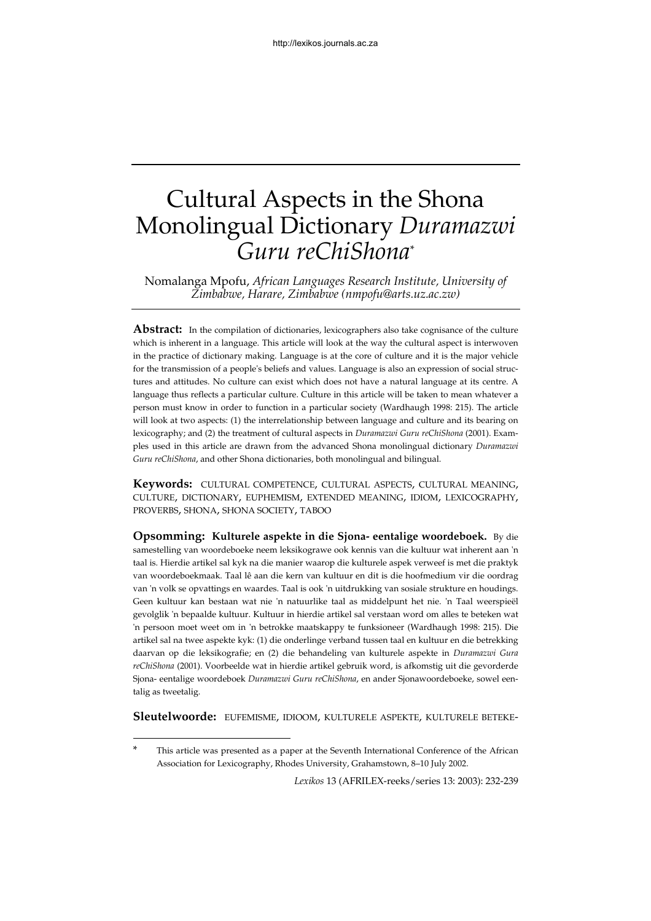# Cultural Aspects in the Shona Monolingual Dictionary *Duramazwi Guru reChiShona*[\\*](#page-0-0)

Nomalanga Mpofu, *African Languages Research Institute, University of Zimbabwe, Harare, Zimbabwe (nmpofu@arts.uz.ac.zw)* 

**Abstract:** In the compilation of dictionaries, lexicographers also take cognisance of the culture which is inherent in a language. This article will look at the way the cultural aspect is interwoven in the practice of dictionary making. Language is at the core of culture and it is the major vehicle for the transmission of a people's beliefs and values. Language is also an expression of social structures and attitudes. No culture can exist which does not have a natural language at its centre. A language thus reflects a particular culture. Culture in this article will be taken to mean whatever a person must know in order to function in a particular society (Wardhaugh 1998: 215). The article will look at two aspects: (1) the interrelationship between language and culture and its bearing on lexicography; and (2) the treatment of cultural aspects in *Duramazwi Guru reChiShona* (2001). Examples used in this article are drawn from the advanced Shona monolingual dictionary *Duramazwi Guru reChiShona*, and other Shona dictionaries, both monolingual and bilingual.

**Keywords:** CULTURAL COMPETENCE, CULTURAL ASPECTS, CULTURAL MEANING, CULTURE, DICTIONARY, EUPHEMISM, EXTENDED MEANING, IDIOM, LEXICOGRAPHY, PROVERBS, SHONA, SHONA SOCIETY, TABOO

**Opsomming: Kulturele aspekte in die Sjona- eentalige woordeboek.** By die samestelling van woordeboeke neem leksikograwe ook kennis van die kultuur wat inherent aan 'n taal is. Hierdie artikel sal kyk na die manier waarop die kulturele aspek verweef is met die praktyk van woordeboekmaak. Taal lê aan die kern van kultuur en dit is die hoofmedium vir die oordrag van 'n volk se opvattings en waardes. Taal is ook 'n uitdrukking van sosiale strukture en houdings. Geen kultuur kan bestaan wat nie 'n natuurlike taal as middelpunt het nie. 'n Taal weerspieël gevolglik 'n bepaalde kultuur. Kultuur in hierdie artikel sal verstaan word om alles te beteken wat 'n persoon moet weet om in 'n betrokke maatskappy te funksioneer (Wardhaugh 1998: 215). Die artikel sal na twee aspekte kyk: (1) die onderlinge verband tussen taal en kultuur en die betrekking daarvan op die leksikografie; en (2) die behandeling van kulturele aspekte in *Duramazwi Gura reChiShona* (2001). Voorbeelde wat in hierdie artikel gebruik word, is afkomstig uit die gevorderde Sjona- eentalige woordeboek *Duramazwi Guru reChiShona*, en ander Sjonawoordeboeke, sowel eentalig as tweetalig.

**Sleutelwoorde:** EUFEMISME, IDIOOM, KULTURELE ASPEKTE, KULTURELE BETEKE-

l

*Lexikos* 13 (AFRILEX-reeks/series 13: 2003): 232-239

<span id="page-0-0"></span>This article was presented as a paper at the Seventh International Conference of the African Association for Lexicography, Rhodes University, Grahamstown, 8–10 July 2002.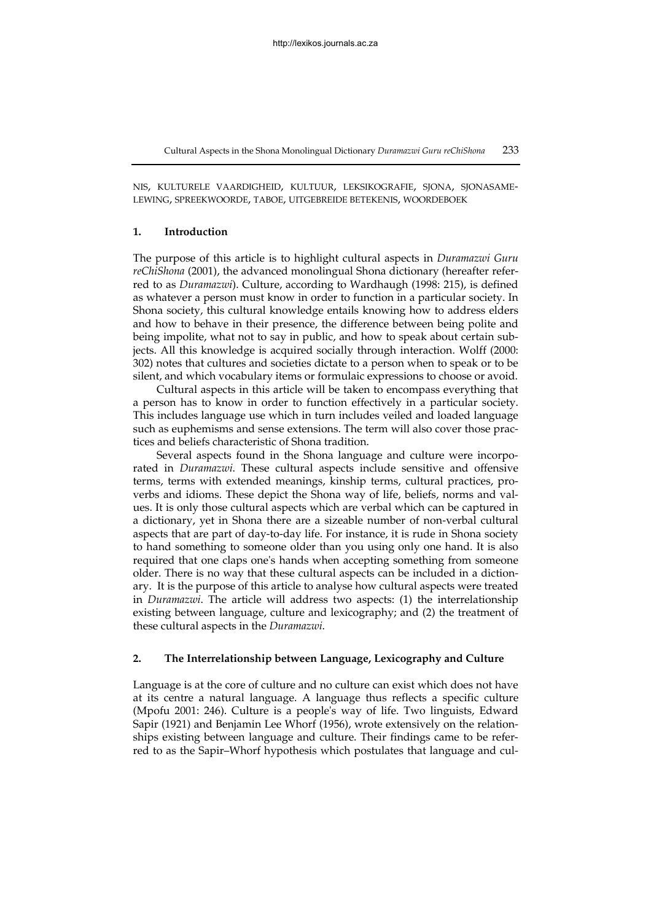NIS, KULTURELE VAARDIGHEID, KULTUUR, LEKSIKOGRAFIE, SJONA, SJONASAME-LEWING, SPREEKWOORDE, TABOE, UITGEBREIDE BETEKENIS, WOORDEBOEK

#### **1. Introduction**

The purpose of this article is to highlight cultural aspects in *Duramazwi Guru reChiShona* (2001), the advanced monolingual Shona dictionary (hereafter referred to as *Duramazwi*). Culture, according to Wardhaugh (1998: 215), is defined as whatever a person must know in order to function in a particular society. In Shona society, this cultural knowledge entails knowing how to address elders and how to behave in their presence, the difference between being polite and being impolite, what not to say in public, and how to speak about certain subjects. All this knowledge is acquired socially through interaction. Wolff (2000: 302) notes that cultures and societies dictate to a person when to speak or to be silent, and which vocabulary items or formulaic expressions to choose or avoid.

Cultural aspects in this article will be taken to encompass everything that a person has to know in order to function effectively in a particular society. This includes language use which in turn includes veiled and loaded language such as euphemisms and sense extensions. The term will also cover those practices and beliefs characteristic of Shona tradition.

Several aspects found in the Shona language and culture were incorporated in *Duramazwi*. These cultural aspects include sensitive and offensive terms, terms with extended meanings, kinship terms, cultural practices, proverbs and idioms. These depict the Shona way of life, beliefs, norms and values. It is only those cultural aspects which are verbal which can be captured in a dictionary, yet in Shona there are a sizeable number of non-verbal cultural aspects that are part of day-to-day life. For instance, it is rude in Shona society to hand something to someone older than you using only one hand. It is also required that one claps one's hands when accepting something from someone older. There is no way that these cultural aspects can be included in a dictionary. It is the purpose of this article to analyse how cultural aspects were treated in *Duramazwi*. The article will address two aspects: (1) the interrelationship existing between language, culture and lexicography; and (2) the treatment of these cultural aspects in the *Duramazwi*.

# **2. The Interrelationship between Language, Lexicography and Culture**

Language is at the core of culture and no culture can exist which does not have at its centre a natural language. A language thus reflects a specific culture (Mpofu 2001: 246). Culture is a people's way of life. Two linguists, Edward Sapir (1921) and Benjamin Lee Whorf (1956), wrote extensively on the relationships existing between language and culture. Their findings came to be referred to as the Sapir–Whorf hypothesis which postulates that language and cul-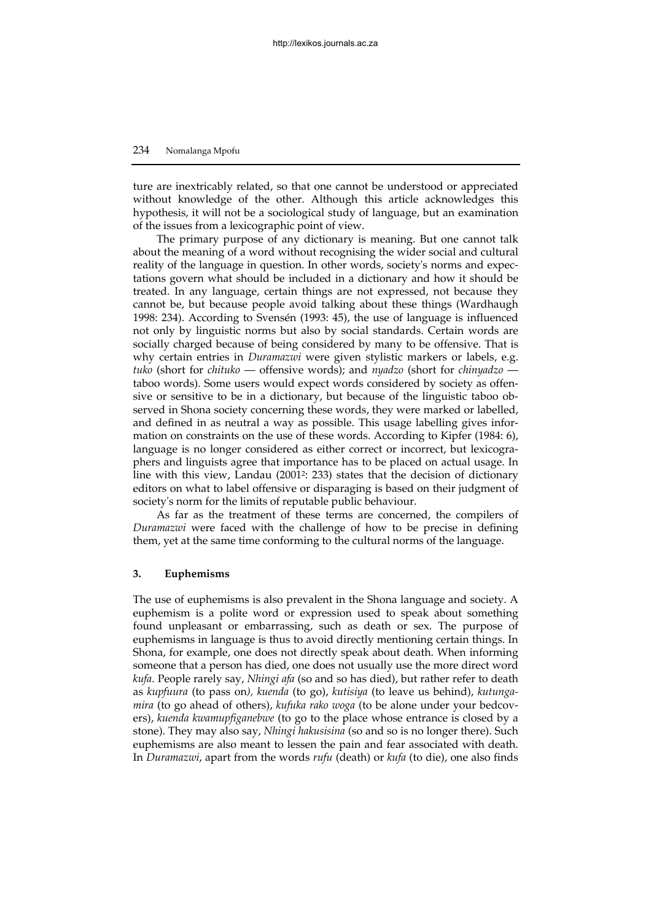## 234 Nomalanga Mpofu

ture are inextricably related, so that one cannot be understood or appreciated without knowledge of the other. Although this article acknowledges this hypothesis, it will not be a sociological study of language, but an examination of the issues from a lexicographic point of view.

The primary purpose of any dictionary is meaning. But one cannot talk about the meaning of a word without recognising the wider social and cultural reality of the language in question. In other words, society's norms and expectations govern what should be included in a dictionary and how it should be treated. In any language, certain things are not expressed, not because they cannot be, but because people avoid talking about these things (Wardhaugh 1998: 234). According to Svensén (1993: 45), the use of language is influenced not only by linguistic norms but also by social standards. Certain words are socially charged because of being considered by many to be offensive. That is why certain entries in *Duramazwi* were given stylistic markers or labels, e.g. *tuko* (short for *chituko* — offensive words); and *nyadzo* (short for *chinyadzo* taboo words). Some users would expect words considered by society as offensive or sensitive to be in a dictionary, but because of the linguistic taboo observed in Shona society concerning these words, they were marked or labelled, and defined in as neutral a way as possible. This usage labelling gives information on constraints on the use of these words. According to Kipfer (1984: 6), language is no longer considered as either correct or incorrect, but lexicographers and linguists agree that importance has to be placed on actual usage. In line with this view, Landau (20012: 233) states that the decision of dictionary editors on what to label offensive or disparaging is based on their judgment of society's norm for the limits of reputable public behaviour.

As far as the treatment of these terms are concerned, the compilers of *Duramazwi* were faced with the challenge of how to be precise in defining them, yet at the same time conforming to the cultural norms of the language.

## **3. Euphemisms**

The use of euphemisms is also prevalent in the Shona language and society. A euphemism is a polite word or expression used to speak about something found unpleasant or embarrassing, such as death or sex. The purpose of euphemisms in language is thus to avoid directly mentioning certain things. In Shona, for example, one does not directly speak about death. When informing someone that a person has died, one does not usually use the more direct word *kufa*. People rarely say, *Nhingi afa* (so and so has died), but rather refer to death as *kupfuura* (to pass on*), kuenda* (to go), *kutisiya* (to leave us behind), *kutungamira* (to go ahead of others), *kufuka rako woga* (to be alone under your bedcovers), *kuenda kwamupfiganebwe* (to go to the place whose entrance is closed by a stone). They may also say, *Nhingi hakusisina* (so and so is no longer there). Such euphemisms are also meant to lessen the pain and fear associated with death. In *Duramazwi*, apart from the words *rufu* (death) or *kufa* (to die), one also finds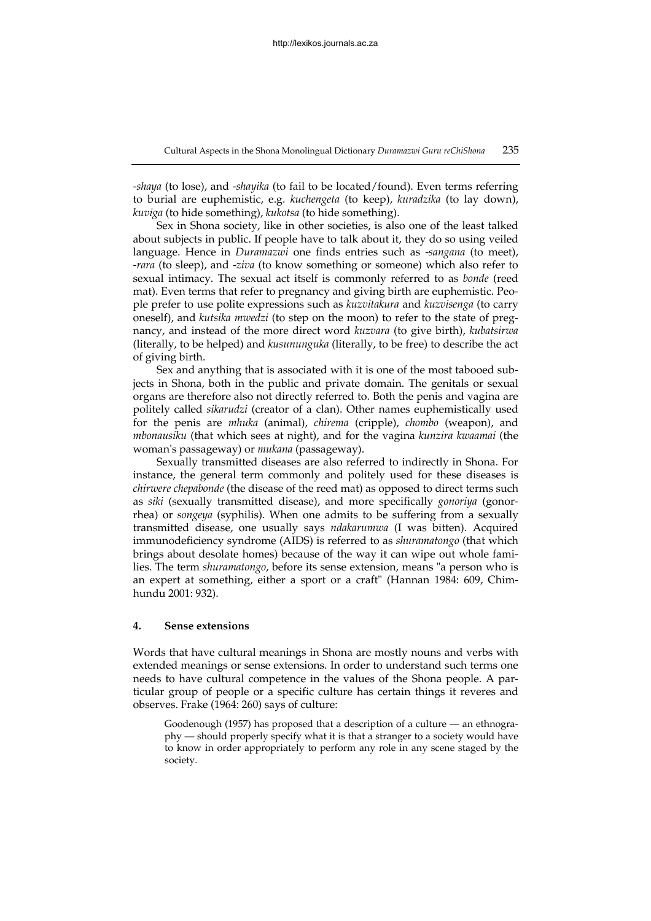-*shaya* (to lose), and -*shayika* (to fail to be located/found). Even terms referring to burial are euphemistic, e.g. *kuchengeta* (to keep), *kuradzika* (to lay down), *kuviga* (to hide something), *kukotsa* (to hide something).

Sex in Shona society, like in other societies, is also one of the least talked about subjects in public. If people have to talk about it, they do so using veiled language. Hence in *Duramazwi* one finds entries such as -*sangana* (to meet), -*rara* (to sleep), and -*ziva* (to know something or someone) which also refer to sexual intimacy. The sexual act itself is commonly referred to as *bonde* (reed mat). Even terms that refer to pregnancy and giving birth are euphemistic. People prefer to use polite expressions such as *kuzvitakura* and *kuzvisenga* (to carry oneself), and *kutsika mwedzi* (to step on the moon) to refer to the state of pregnancy, and instead of the more direct word *kuzvara* (to give birth), *kubatsirwa* (literally, to be helped) and *kusununguka* (literally, to be free) to describe the act of giving birth.

Sex and anything that is associated with it is one of the most tabooed subjects in Shona, both in the public and private domain. The genitals or sexual organs are therefore also not directly referred to. Both the penis and vagina are politely called *sikarudzi* (creator of a clan). Other names euphemistically used for the penis are *mhuka* (animal), *chirema* (cripple), *chombo* (weapon), and *mbonausiku* (that which sees at night), and for the vagina *kunzira kwaamai* (the woman's passageway) or *mukana* (passageway).

Sexually transmitted diseases are also referred to indirectly in Shona. For instance, the general term commonly and politely used for these diseases is *chirwere chepabonde* (the disease of the reed mat) as opposed to direct terms such as *siki* (sexually transmitted disease), and more specifically *gonoriya* (gonorrhea) or *songeya* (syphilis). When one admits to be suffering from a sexually transmitted disease, one usually says *ndakarumwa* (I was bitten). Acquired immunodeficiency syndrome (AIDS) is referred to as *shuramatongo* (that which brings about desolate homes) because of the way it can wipe out whole families. The term *shuramatongo*, before its sense extension, means "a person who is an expert at something, either a sport or a craft" (Hannan 1984: 609, Chimhundu 2001: 932).

#### **4. Sense extensions**

Words that have cultural meanings in Shona are mostly nouns and verbs with extended meanings or sense extensions. In order to understand such terms one needs to have cultural competence in the values of the Shona people. A particular group of people or a specific culture has certain things it reveres and observes. Frake (1964: 260) says of culture:

 Goodenough (1957) has proposed that a description of a culture — an ethnography — should properly specify what it is that a stranger to a society would have to know in order appropriately to perform any role in any scene staged by the society.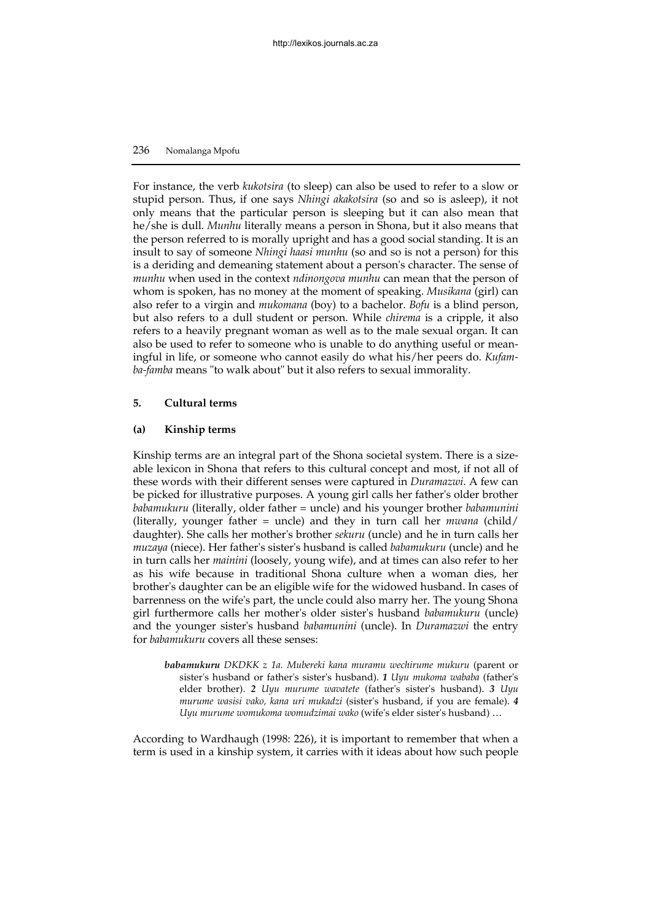#### 236 Nomalanga Mpofu

For instance, the verb *kukotsira* (to sleep) can also be used to refer to a slow or stupid person. Thus, if one says *Nhingi akakotsira* (so and so is asleep), it not only means that the particular person is sleeping but it can also mean that he/she is dull. *Munhu* literally means a person in Shona, but it also means that the person referred to is morally upright and has a good social standing. It is an insult to say of someone *Nhingi haasi munhu* (so and so is not a person) for this is a deriding and demeaning statement about a person's character. The sense of *munhu* when used in the context *ndinongova munhu* can mean that the person of whom is spoken, has no money at the moment of speaking. *Musikana* (girl) can also refer to a virgin and *mukomana* (boy) to a bachelor. *Bofu* is a blind person, but also refers to a dull student or person. While *chirema* is a cripple, it also refers to a heavily pregnant woman as well as to the male sexual organ. It can also be used to refer to someone who is unable to do anything useful or meaningful in life, or someone who cannot easily do what his/her peers do. *Kufamba-famba* means "to walk about" but it also refers to sexual immorality.

# **5. Cultural terms**

#### **(a) Kinship terms**

Kinship terms are an integral part of the Shona societal system. There is a sizeable lexicon in Shona that refers to this cultural concept and most, if not all of these words with their different senses were captured in *Duramazwi*. A few can be picked for illustrative purposes. A young girl calls her father's older brother *babamukuru* (literally, older father = uncle) and his younger brother *babamunini* (literally, younger father = uncle) and they in turn call her *mwana* (child/ daughter). She calls her mother's brother *sekuru* (uncle) and he in turn calls her *muzaya* (niece). Her father's sister's husband is called *babamukuru* (uncle) and he in turn calls her *mainini* (loosely, young wife), and at times can also refer to her as his wife because in traditional Shona culture when a woman dies, her brother's daughter can be an eligible wife for the widowed husband. In cases of barrenness on the wife's part, the uncle could also marry her. The young Shona girl furthermore calls her mother's older sister's husband *babamukuru* (uncle) and the younger sister's husband *babamunini* (uncle). In *Duramazwi* the entry for *babamukuru* covers all these senses:

*babamukuru DKDKK z 1a. Mubereki kana muramu wechirume mukuru* (parent or sister's husband or father's sister's husband). *1 Uyu mukoma wababa* (father's elder brother). *2 Uyu murume wavatete* (father's sister's husband). *3 Uyu murume wasisi vako, kana uri mukadzi* (sister's husband, if you are female). *4 Uyu murume womukoma womudzimai wako* (wife's elder sister's husband) …

According to Wardhaugh (1998: 226), it is important to remember that when a term is used in a kinship system, it carries with it ideas about how such people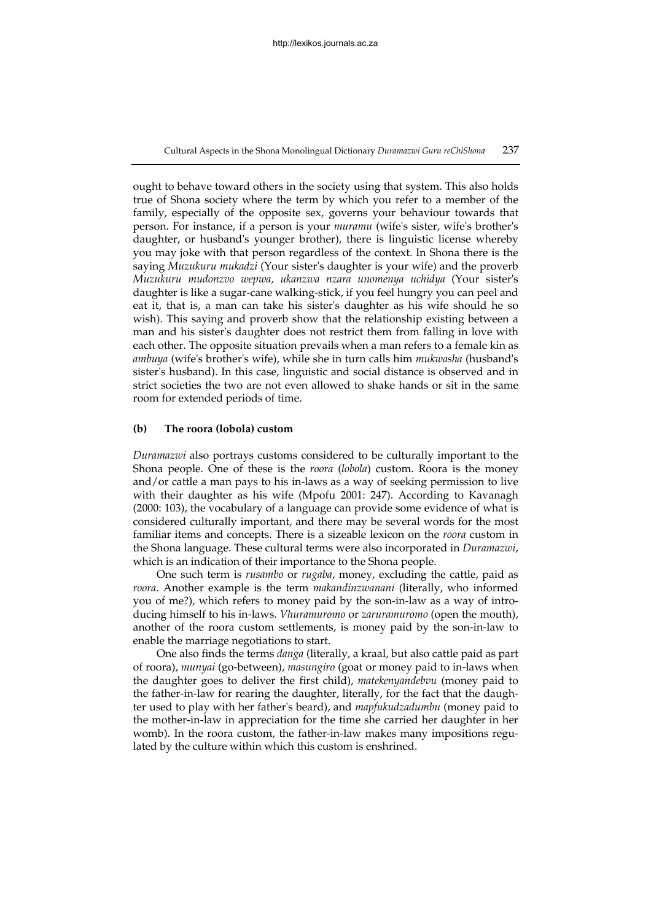ought to behave toward others in the society using that system. This also holds true of Shona society where the term by which you refer to a member of the family, especially of the opposite sex, governs your behaviour towards that person. For instance, if a person is your *muramu* (wife's sister, wife's brother's daughter, or husband's younger brother), there is linguistic license whereby you may joke with that person regardless of the context. In Shona there is the saying *Muzukuru mukadzi* (Your sister's daughter is your wife) and the proverb *Muzukuru mudonzvo wepwa, ukanzwa nzara unomenya uchidya* (Your sister's daughter is like a sugar-cane walking-stick, if you feel hungry you can peel and eat it, that is, a man can take his sister's daughter as his wife should he so wish). This saying and proverb show that the relationship existing between a man and his sister's daughter does not restrict them from falling in love with each other. The opposite situation prevails when a man refers to a female kin as *ambuya* (wife's brother's wife), while she in turn calls him *mukwasha* (husband's sister's husband). In this case, linguistic and social distance is observed and in strict societies the two are not even allowed to shake hands or sit in the same room for extended periods of time.

# **(b) The roora (lobola) custom**

*Duramazwi* also portrays customs considered to be culturally important to the Shona people. One of these is the *roora* (*lobola*) custom. Roora is the money and/or cattle a man pays to his in-laws as a way of seeking permission to live with their daughter as his wife (Mpofu 2001: 247). According to Kavanagh (2000: 103), the vocabulary of a language can provide some evidence of what is considered culturally important, and there may be several words for the most familiar items and concepts. There is a sizeable lexicon on the *roora* custom in the Shona language. These cultural terms were also incorporated in *Duramazwi*, which is an indication of their importance to the Shona people.

One such term is *rusambo* or *rugaba*, money, excluding the cattle, paid as *roora*. Another example is the term *makandinzwanani* (literally, who informed you of me?), which refers to money paid by the son-in-law as a way of introducing himself to his in-laws. *Vhuramuromo* or *zaruramuromo* (open the mouth), another of the roora custom settlements, is money paid by the son-in-law to enable the marriage negotiations to start.

One also finds the terms *danga* (literally, a kraal, but also cattle paid as part of roora), *munyai* (go-between), *masungiro* (goat or money paid to in-laws when the daughter goes to deliver the first child), *matekenyandebvu* (money paid to the father-in-law for rearing the daughter, literally, for the fact that the daughter used to play with her father's beard), and *mapfukudzadumbu* (money paid to the mother-in-law in appreciation for the time she carried her daughter in her womb). In the roora custom, the father-in-law makes many impositions regulated by the culture within which this custom is enshrined.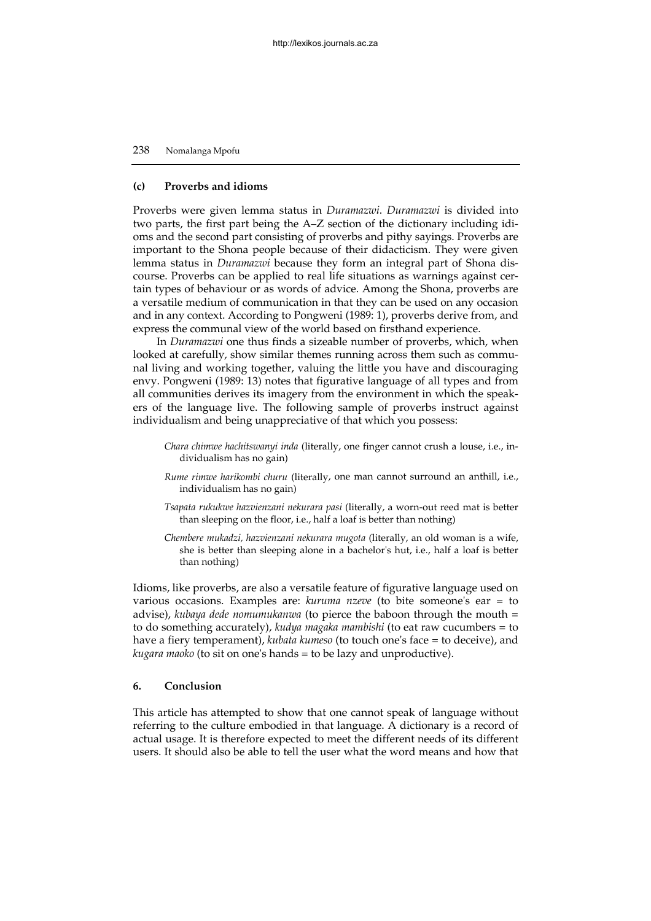#### **(c) Proverbs and idioms**

Proverbs were given lemma status in *Duramazwi*. *Duramazwi* is divided into two parts, the first part being the A–Z section of the dictionary including idioms and the second part consisting of proverbs and pithy sayings. Proverbs are important to the Shona people because of their didacticism. They were given lemma status in *Duramazwi* because they form an integral part of Shona discourse. Proverbs can be applied to real life situations as warnings against certain types of behaviour or as words of advice. Among the Shona, proverbs are a versatile medium of communication in that they can be used on any occasion and in any context. According to Pongweni (1989: 1), proverbs derive from, and express the communal view of the world based on firsthand experience.

In *Duramazwi* one thus finds a sizeable number of proverbs, which, when looked at carefully, show similar themes running across them such as communal living and working together, valuing the little you have and discouraging envy. Pongweni (1989: 13) notes that figurative language of all types and from all communities derives its imagery from the environment in which the speakers of the language live. The following sample of proverbs instruct against individualism and being unappreciative of that which you possess:

- *Chara chimwe hachitswanyi inda* (literally, one finger cannot crush a louse, i.e., individualism has no gain)
- *Rume rimwe harikombi churu* (literally, one man cannot surround an anthill, i.e., individualism has no gain)
- *Tsapata rukukwe hazvienzani nekurara pasi* (literally, a worn-out reed mat is better than sleeping on the floor, i.e., half a loaf is better than nothing)
- *Chembere mukadzi, hazvienzani nekurara mugota* (literally, an old woman is a wife, she is better than sleeping alone in a bachelor's hut, i.e., half a loaf is better than nothing)

Idioms, like proverbs, are also a versatile feature of figurative language used on various occasions. Examples are: *kuruma nzeve* (to bite someone's ear = to advise), *kubaya dede nomumukanwa* (to pierce the baboon through the mouth = to do something accurately), *kudya magaka mambishi* (to eat raw cucumbers = to have a fiery temperament), *kubata kumeso* (to touch one's face = to deceive), and *kugara maoko* (to sit on one's hands = to be lazy and unproductive).

# **6. Conclusion**

This article has attempted to show that one cannot speak of language without referring to the culture embodied in that language. A dictionary is a record of actual usage. It is therefore expected to meet the different needs of its different users. It should also be able to tell the user what the word means and how that